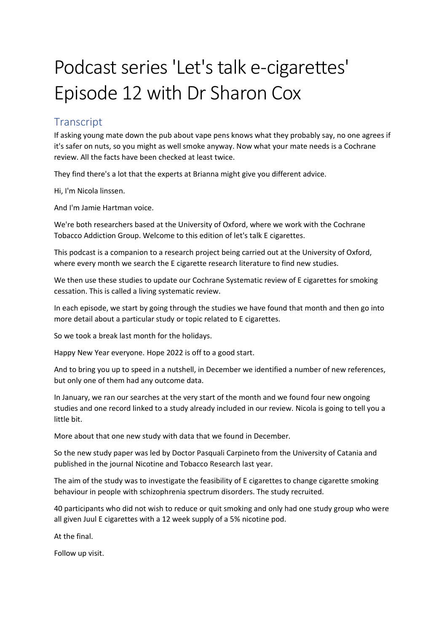## Podcast series 'Let's talk e-cigarettes' Episode 12 with Dr Sharon Cox

## **Transcript**

If asking young mate down the pub about vape pens knows what they probably say, no one agrees if it's safer on nuts, so you might as well smoke anyway. Now what your mate needs is a Cochrane review. All the facts have been checked at least twice.

They find there's a lot that the experts at Brianna might give you different advice.

Hi, I'm Nicola linssen.

And I'm Jamie Hartman voice.

We're both researchers based at the University of Oxford, where we work with the Cochrane Tobacco Addiction Group. Welcome to this edition of let's talk E cigarettes.

This podcast is a companion to a research project being carried out at the University of Oxford, where every month we search the E cigarette research literature to find new studies.

We then use these studies to update our Cochrane Systematic review of E cigarettes for smoking cessation. This is called a living systematic review.

In each episode, we start by going through the studies we have found that month and then go into more detail about a particular study or topic related to E cigarettes.

So we took a break last month for the holidays.

Happy New Year everyone. Hope 2022 is off to a good start.

And to bring you up to speed in a nutshell, in December we identified a number of new references, but only one of them had any outcome data.

In January, we ran our searches at the very start of the month and we found four new ongoing studies and one record linked to a study already included in our review. Nicola is going to tell you a little bit.

More about that one new study with data that we found in December.

So the new study paper was led by Doctor Pasquali Carpineto from the University of Catania and published in the journal Nicotine and Tobacco Research last year.

The aim of the study was to investigate the feasibility of E cigarettes to change cigarette smoking behaviour in people with schizophrenia spectrum disorders. The study recruited.

40 participants who did not wish to reduce or quit smoking and only had one study group who were all given Juul E cigarettes with a 12 week supply of a 5% nicotine pod.

At the final.

Follow up visit.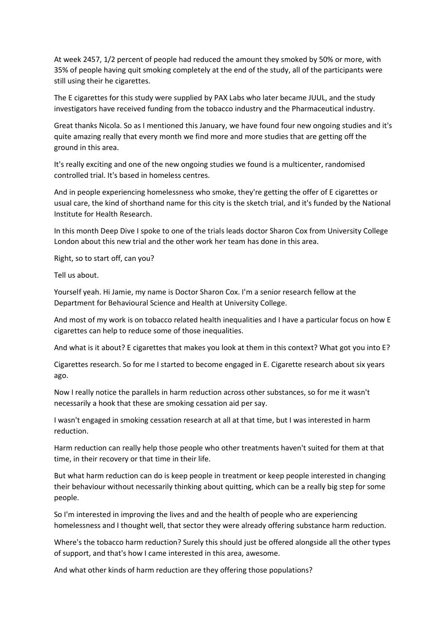At week 2457, 1/2 percent of people had reduced the amount they smoked by 50% or more, with 35% of people having quit smoking completely at the end of the study, all of the participants were still using their he cigarettes.

The E cigarettes for this study were supplied by PAX Labs who later became JUUL, and the study investigators have received funding from the tobacco industry and the Pharmaceutical industry.

Great thanks Nicola. So as I mentioned this January, we have found four new ongoing studies and it's quite amazing really that every month we find more and more studies that are getting off the ground in this area.

It's really exciting and one of the new ongoing studies we found is a multicenter, randomised controlled trial. It's based in homeless centres.

And in people experiencing homelessness who smoke, they're getting the offer of E cigarettes or usual care, the kind of shorthand name for this city is the sketch trial, and it's funded by the National Institute for Health Research.

In this month Deep Dive I spoke to one of the trials leads doctor Sharon Cox from University College London about this new trial and the other work her team has done in this area.

Right, so to start off, can you?

Tell us about.

Yourself yeah. Hi Jamie, my name is Doctor Sharon Cox. I'm a senior research fellow at the Department for Behavioural Science and Health at University College.

And most of my work is on tobacco related health inequalities and I have a particular focus on how E cigarettes can help to reduce some of those inequalities.

And what is it about? E cigarettes that makes you look at them in this context? What got you into E?

Cigarettes research. So for me I started to become engaged in E. Cigarette research about six years ago.

Now I really notice the parallels in harm reduction across other substances, so for me it wasn't necessarily a hook that these are smoking cessation aid per say.

I wasn't engaged in smoking cessation research at all at that time, but I was interested in harm reduction.

Harm reduction can really help those people who other treatments haven't suited for them at that time, in their recovery or that time in their life.

But what harm reduction can do is keep people in treatment or keep people interested in changing their behaviour without necessarily thinking about quitting, which can be a really big step for some people.

So I'm interested in improving the lives and and the health of people who are experiencing homelessness and I thought well, that sector they were already offering substance harm reduction.

Where's the tobacco harm reduction? Surely this should just be offered alongside all the other types of support, and that's how I came interested in this area, awesome.

And what other kinds of harm reduction are they offering those populations?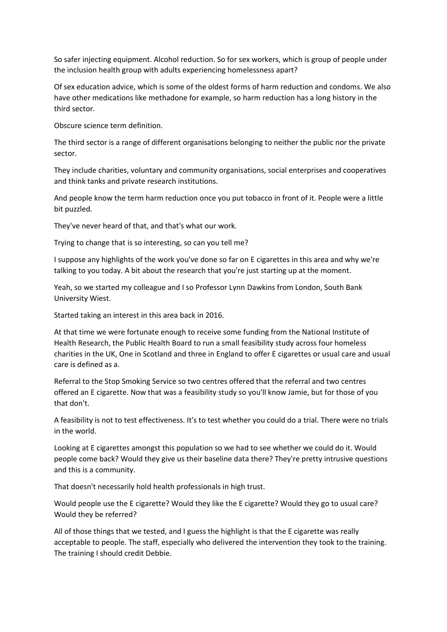So safer injecting equipment. Alcohol reduction. So for sex workers, which is group of people under the inclusion health group with adults experiencing homelessness apart?

Of sex education advice, which is some of the oldest forms of harm reduction and condoms. We also have other medications like methadone for example, so harm reduction has a long history in the third sector.

Obscure science term definition.

The third sector is a range of different organisations belonging to neither the public nor the private sector.

They include charities, voluntary and community organisations, social enterprises and cooperatives and think tanks and private research institutions.

And people know the term harm reduction once you put tobacco in front of it. People were a little bit puzzled.

They've never heard of that, and that's what our work.

Trying to change that is so interesting, so can you tell me?

I suppose any highlights of the work you've done so far on E cigarettes in this area and why we're talking to you today. A bit about the research that you're just starting up at the moment.

Yeah, so we started my colleague and I so Professor Lynn Dawkins from London, South Bank University Wiest.

Started taking an interest in this area back in 2016.

At that time we were fortunate enough to receive some funding from the National Institute of Health Research, the Public Health Board to run a small feasibility study across four homeless charities in the UK, One in Scotland and three in England to offer E cigarettes or usual care and usual care is defined as a.

Referral to the Stop Smoking Service so two centres offered that the referral and two centres offered an E cigarette. Now that was a feasibility study so you'll know Jamie, but for those of you that don't.

A feasibility is not to test effectiveness. It's to test whether you could do a trial. There were no trials in the world.

Looking at E cigarettes amongst this population so we had to see whether we could do it. Would people come back? Would they give us their baseline data there? They're pretty intrusive questions and this is a community.

That doesn't necessarily hold health professionals in high trust.

Would people use the E cigarette? Would they like the E cigarette? Would they go to usual care? Would they be referred?

All of those things that we tested, and I guess the highlight is that the E cigarette was really acceptable to people. The staff, especially who delivered the intervention they took to the training. The training I should credit Debbie.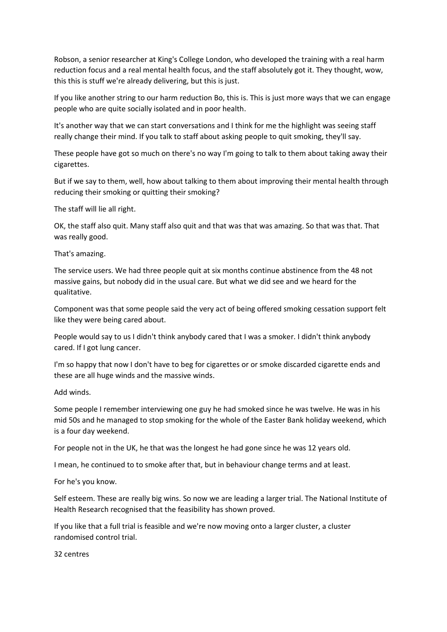Robson, a senior researcher at King's College London, who developed the training with a real harm reduction focus and a real mental health focus, and the staff absolutely got it. They thought, wow, this this is stuff we're already delivering, but this is just.

If you like another string to our harm reduction Bo, this is. This is just more ways that we can engage people who are quite socially isolated and in poor health.

It's another way that we can start conversations and I think for me the highlight was seeing staff really change their mind. If you talk to staff about asking people to quit smoking, they'll say.

These people have got so much on there's no way I'm going to talk to them about taking away their cigarettes.

But if we say to them, well, how about talking to them about improving their mental health through reducing their smoking or quitting their smoking?

The staff will lie all right.

OK, the staff also quit. Many staff also quit and that was that was amazing. So that was that. That was really good.

That's amazing.

The service users. We had three people quit at six months continue abstinence from the 48 not massive gains, but nobody did in the usual care. But what we did see and we heard for the qualitative.

Component was that some people said the very act of being offered smoking cessation support felt like they were being cared about.

People would say to us I didn't think anybody cared that I was a smoker. I didn't think anybody cared. If I got lung cancer.

I'm so happy that now I don't have to beg for cigarettes or or smoke discarded cigarette ends and these are all huge winds and the massive winds.

Add winds.

Some people I remember interviewing one guy he had smoked since he was twelve. He was in his mid 50s and he managed to stop smoking for the whole of the Easter Bank holiday weekend, which is a four day weekend.

For people not in the UK, he that was the longest he had gone since he was 12 years old.

I mean, he continued to to smoke after that, but in behaviour change terms and at least.

For he's you know.

Self esteem. These are really big wins. So now we are leading a larger trial. The National Institute of Health Research recognised that the feasibility has shown proved.

If you like that a full trial is feasible and we're now moving onto a larger cluster, a cluster randomised control trial.

32 centres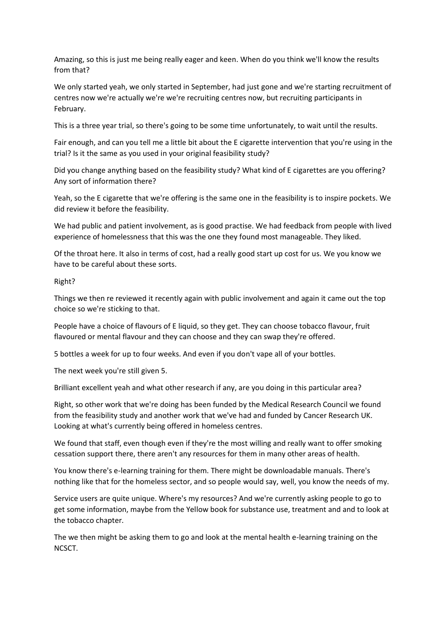Amazing, so this is just me being really eager and keen. When do you think we'll know the results from that?

We only started yeah, we only started in September, had just gone and we're starting recruitment of centres now we're actually we're we're recruiting centres now, but recruiting participants in February.

This is a three year trial, so there's going to be some time unfortunately, to wait until the results.

Fair enough, and can you tell me a little bit about the E cigarette intervention that you're using in the trial? Is it the same as you used in your original feasibility study?

Did you change anything based on the feasibility study? What kind of E cigarettes are you offering? Any sort of information there?

Yeah, so the E cigarette that we're offering is the same one in the feasibility is to inspire pockets. We did review it before the feasibility.

We had public and patient involvement, as is good practise. We had feedback from people with lived experience of homelessness that this was the one they found most manageable. They liked.

Of the throat here. It also in terms of cost, had a really good start up cost for us. We you know we have to be careful about these sorts.

Right?

Things we then re reviewed it recently again with public involvement and again it came out the top choice so we're sticking to that.

People have a choice of flavours of E liquid, so they get. They can choose tobacco flavour, fruit flavoured or mental flavour and they can choose and they can swap they're offered.

5 bottles a week for up to four weeks. And even if you don't vape all of your bottles.

The next week you're still given 5.

Brilliant excellent yeah and what other research if any, are you doing in this particular area?

Right, so other work that we're doing has been funded by the Medical Research Council we found from the feasibility study and another work that we've had and funded by Cancer Research UK. Looking at what's currently being offered in homeless centres.

We found that staff, even though even if they're the most willing and really want to offer smoking cessation support there, there aren't any resources for them in many other areas of health.

You know there's e-learning training for them. There might be downloadable manuals. There's nothing like that for the homeless sector, and so people would say, well, you know the needs of my.

Service users are quite unique. Where's my resources? And we're currently asking people to go to get some information, maybe from the Yellow book for substance use, treatment and and to look at the tobacco chapter.

The we then might be asking them to go and look at the mental health e-learning training on the NCSCT.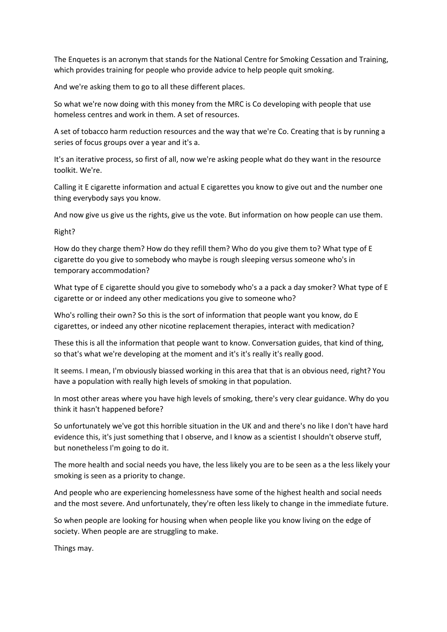The Enquetes is an acronym that stands for the National Centre for Smoking Cessation and Training, which provides training for people who provide advice to help people quit smoking.

And we're asking them to go to all these different places.

So what we're now doing with this money from the MRC is Co developing with people that use homeless centres and work in them. A set of resources.

A set of tobacco harm reduction resources and the way that we're Co. Creating that is by running a series of focus groups over a year and it's a.

It's an iterative process, so first of all, now we're asking people what do they want in the resource toolkit. We're.

Calling it E cigarette information and actual E cigarettes you know to give out and the number one thing everybody says you know.

And now give us give us the rights, give us the vote. But information on how people can use them.

Right?

How do they charge them? How do they refill them? Who do you give them to? What type of E cigarette do you give to somebody who maybe is rough sleeping versus someone who's in temporary accommodation?

What type of E cigarette should you give to somebody who's a a pack a day smoker? What type of E cigarette or or indeed any other medications you give to someone who?

Who's rolling their own? So this is the sort of information that people want you know, do E cigarettes, or indeed any other nicotine replacement therapies, interact with medication?

These this is all the information that people want to know. Conversation guides, that kind of thing, so that's what we're developing at the moment and it's it's really it's really good.

It seems. I mean, I'm obviously biassed working in this area that that is an obvious need, right? You have a population with really high levels of smoking in that population.

In most other areas where you have high levels of smoking, there's very clear guidance. Why do you think it hasn't happened before?

So unfortunately we've got this horrible situation in the UK and and there's no like I don't have hard evidence this, it's just something that I observe, and I know as a scientist I shouldn't observe stuff, but nonetheless I'm going to do it.

The more health and social needs you have, the less likely you are to be seen as a the less likely your smoking is seen as a priority to change.

And people who are experiencing homelessness have some of the highest health and social needs and the most severe. And unfortunately, they're often less likely to change in the immediate future.

So when people are looking for housing when when people like you know living on the edge of society. When people are are struggling to make.

Things may.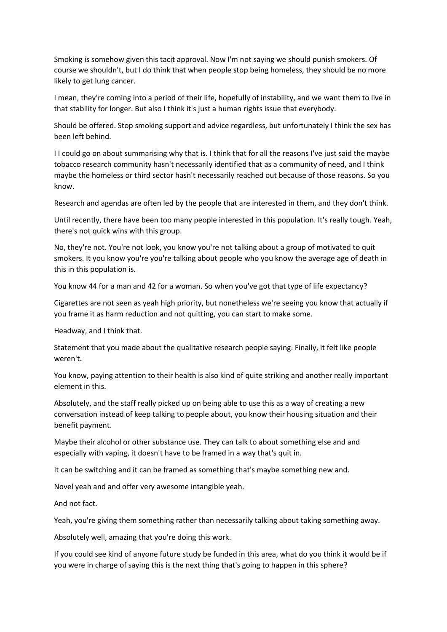Smoking is somehow given this tacit approval. Now I'm not saying we should punish smokers. Of course we shouldn't, but I do think that when people stop being homeless, they should be no more likely to get lung cancer.

I mean, they're coming into a period of their life, hopefully of instability, and we want them to live in that stability for longer. But also I think it's just a human rights issue that everybody.

Should be offered. Stop smoking support and advice regardless, but unfortunately I think the sex has been left behind.

I I could go on about summarising why that is. I think that for all the reasons I've just said the maybe tobacco research community hasn't necessarily identified that as a community of need, and I think maybe the homeless or third sector hasn't necessarily reached out because of those reasons. So you know.

Research and agendas are often led by the people that are interested in them, and they don't think.

Until recently, there have been too many people interested in this population. It's really tough. Yeah, there's not quick wins with this group.

No, they're not. You're not look, you know you're not talking about a group of motivated to quit smokers. It you know you're you're talking about people who you know the average age of death in this in this population is.

You know 44 for a man and 42 for a woman. So when you've got that type of life expectancy?

Cigarettes are not seen as yeah high priority, but nonetheless we're seeing you know that actually if you frame it as harm reduction and not quitting, you can start to make some.

Headway, and I think that.

Statement that you made about the qualitative research people saying. Finally, it felt like people weren't.

You know, paying attention to their health is also kind of quite striking and another really important element in this.

Absolutely, and the staff really picked up on being able to use this as a way of creating a new conversation instead of keep talking to people about, you know their housing situation and their benefit payment.

Maybe their alcohol or other substance use. They can talk to about something else and and especially with vaping, it doesn't have to be framed in a way that's quit in.

It can be switching and it can be framed as something that's maybe something new and.

Novel yeah and and offer very awesome intangible yeah.

And not fact.

Yeah, you're giving them something rather than necessarily talking about taking something away.

Absolutely well, amazing that you're doing this work.

If you could see kind of anyone future study be funded in this area, what do you think it would be if you were in charge of saying this is the next thing that's going to happen in this sphere?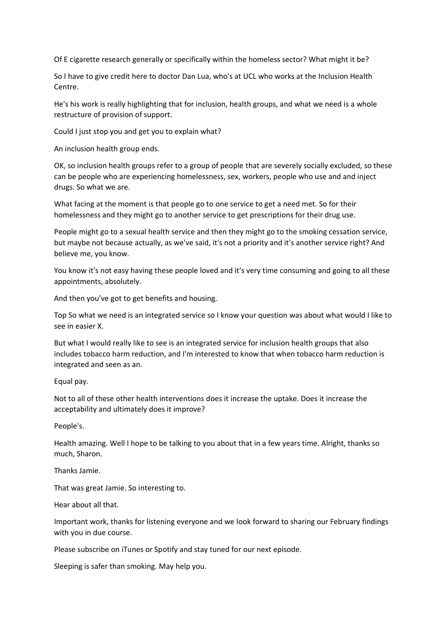Of E cigarette research generally or specifically within the homeless sector? What might it be?

So I have to give credit here to doctor Dan Lua, who's at UCL who works at the Inclusion Health Centre.

He's his work is really highlighting that for inclusion, health groups, and what we need is a whole restructure of provision of support.

Could I just stop you and get you to explain what?

An inclusion health group ends.

OK, so inclusion health groups refer to a group of people that are severely socially excluded, so these can be people who are experiencing homelessness, sex, workers, people who use and and inject drugs. So what we are.

What facing at the moment is that people go to one service to get a need met. So for their homelessness and they might go to another service to get prescriptions for their drug use.

People might go to a sexual health service and then they might go to the smoking cessation service, but maybe not because actually, as we've said, it's not a priority and it's another service right? And believe me, you know.

You know it's not easy having these people loved and it's very time consuming and going to all these appointments, absolutely.

And then you've got to get benefits and housing.

Top So what we need is an integrated service so I know your question was about what would I like to see in easier X.

But what I would really like to see is an integrated service for inclusion health groups that also includes tobacco harm reduction, and I'm interested to know that when tobacco harm reduction is integrated and seen as an.

Equal pay.

Not to all of these other health interventions does it increase the uptake. Does it increase the acceptability and ultimately does it improve?

People's.

Health amazing. Well I hope to be talking to you about that in a few years time. Alright, thanks so much, Sharon.

Thanks Jamie.

That was great Jamie. So interesting to.

Hear about all that.

Important work, thanks for listening everyone and we look forward to sharing our February findings with you in due course.

Please subscribe on iTunes or Spotify and stay tuned for our next episode.

Sleeping is safer than smoking. May help you.